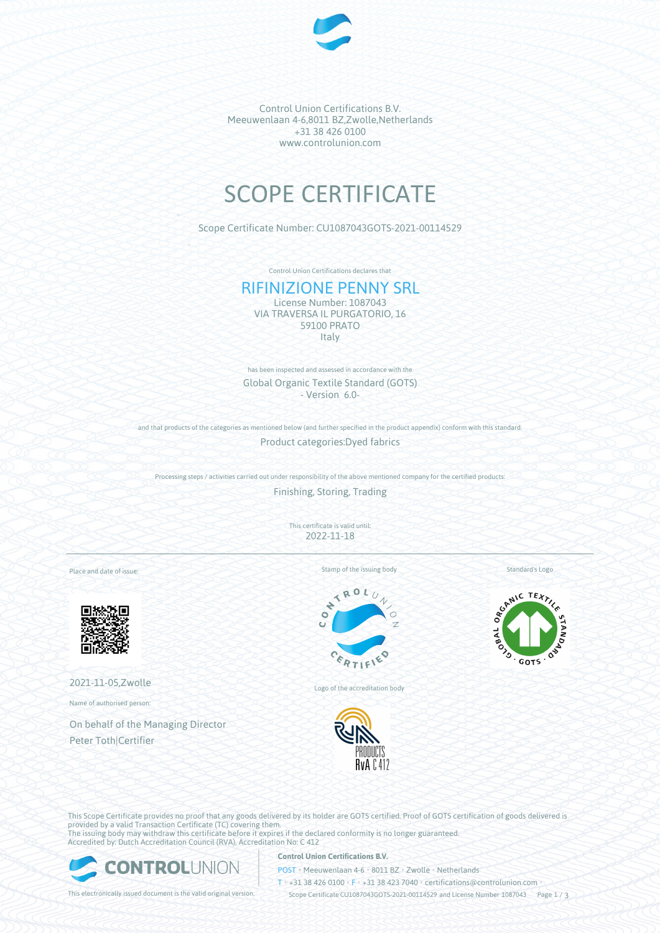

Control Union Certifications B.V. Meeuwenlaan 4-6,8011 BZ,Zwolle,Netherlands +31 38 426 0100 www.controlunion.com

# SCOPE CERTIFICATE

Scope Certificate Number: CU1087043GOTS-2021-00114529

Control Union Certifications declares that

# RIFINIZIONE PENNY SRL

License Number: 1087043 VIA TRAVERSA IL PURGATORIO, 16 59100 PRATO **Italy** 

has been inspected and assessed in accordance with the Global Organic Textile Standard (GOTS) - Version 6.0-

and that products of the categories as mentioned below (and further specified in the product appendix) conform with this standard. Product categories:Dyed fabrics

Processing steps / activities carried out under responsibility of the above mentioned company for the certified products:

Finishing, Storing, Trading

This certificate is valid until: 2022-11-18

> k  $\mathcal{L}_{\mathbf{0}}$ d

Place and date of issue:



2021-11-05,Zwolle

Name of authorised person:

On behalf of the Managing Director Peter Toth|Certifier

Stamp of the issuing body

Standard's Logo



Logo of the accreditation body



SCANIC TEXTILE **GOTS** 

This Scope Certificate provides no proof that any goods delivered by its holder are GOTS certified. Proof of GOTS certification of goods delivered is provided by a valid Transaction Certificate (TC) covering them. The issuing body may withdraw this certificate before it expires if the declared conformity is no longer guaranteed. Accredited by: Dutch Accreditation Council (RVA), Accreditation No: C 412



### **Control Union Certifications B.V.**

POST • Meeuwenlaan 4-6 • 8011 BZ • Zwolle • Netherlands

T • +31 38 426 0100 • F • +31 38 423 7040 • certifications@controlunion.com •

This electronically issued document is the valid original version. Scope Certificate CU1087043GOTS-2021-00114529 and License Number 1087043 Page 1 / 3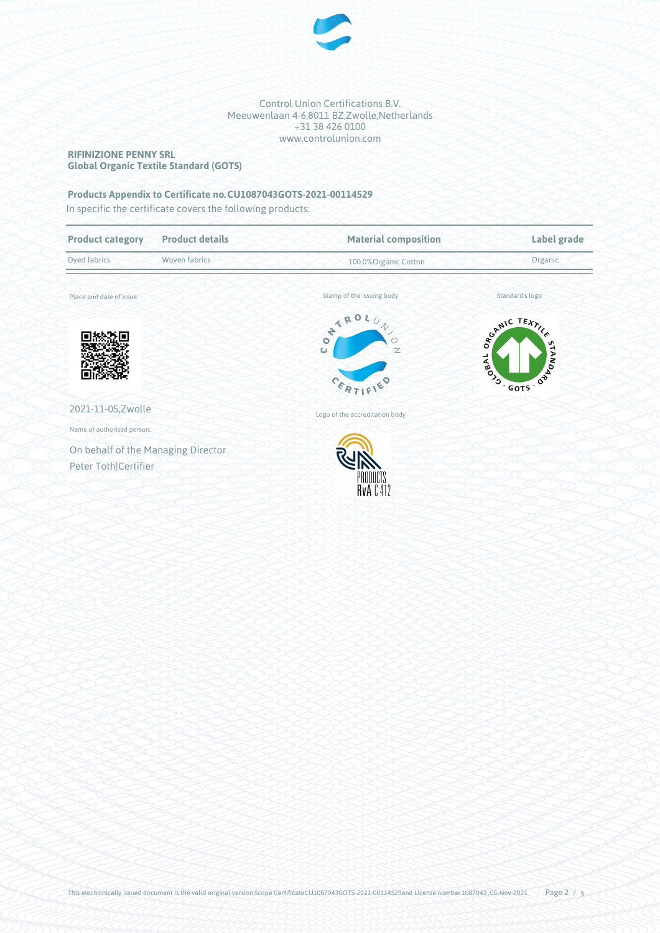

Control Union Certifications B.V. Meeuwenlaan 4-6,8011 BZ,Zwolle,Netherlands +31 38 426 0100 www.controlunion.com

### **RIFINIZIONE PENNY SRL Global Organic Textile Standard (GOTS)**

## **Products Appendix to Certificate no.CU1087043GOTS-2021-00114529**

In specific the certificate covers the following products:

| <b>Product category</b>            | <b>Product details</b> | <b>Material composition</b>                                                 | Label grade                              |
|------------------------------------|------------------------|-----------------------------------------------------------------------------|------------------------------------------|
| Dyed fabrics                       | Woven fabrics          | 100.0% Organic Cotton                                                       | Organic                                  |
| Place and date of issue:           |                        | Stamp of the issuing body                                                   | Standard's logo                          |
|                                    |                        | ON TROL<br>$\overline{\sqrt{2}}$<br>$\circ$<br>$\mathbb{Z}$<br>Ù<br>CERTIF' | SCANIC TEXTILES<br>SPAL OVER DESIGNATION |
| 2021-11-05, Zwolle                 |                        | Logo of the accreditation body                                              |                                          |
| Name of authorised person:         |                        |                                                                             |                                          |
| On behalf of the Managing Director |                        |                                                                             |                                          |
| Peter Toth Certifier               |                        | <b>HVA</b> C412                                                             |                                          |